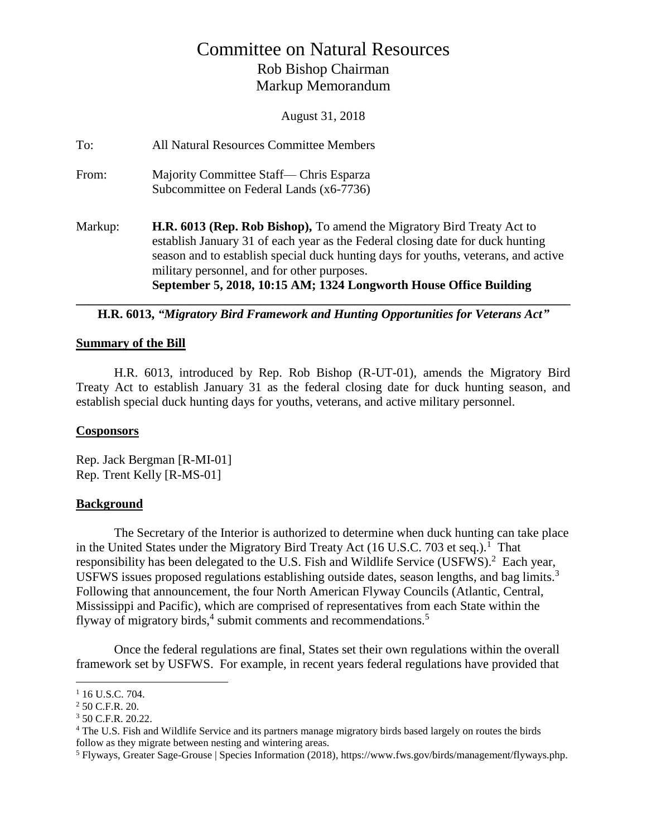# Committee on Natural Resources Rob Bishop Chairman Markup Memorandum

August 31, 2018

| To:     | All Natural Resources Committee Members                                                                                                                                                                                                                                                                                                                                   |
|---------|---------------------------------------------------------------------------------------------------------------------------------------------------------------------------------------------------------------------------------------------------------------------------------------------------------------------------------------------------------------------------|
| From:   | Majority Committee Staff— Chris Esparza<br>Subcommittee on Federal Lands (x6-7736)                                                                                                                                                                                                                                                                                        |
| Markup: | <b>H.R. 6013 (Rep. Rob Bishop),</b> To amend the Migratory Bird Treaty Act to<br>establish January 31 of each year as the Federal closing date for duck hunting<br>season and to establish special duck hunting days for youths, veterans, and active<br>military personnel, and for other purposes.<br>September 5, 2018, 10:15 AM; 1324 Longworth House Office Building |

#### **\_\_\_\_\_\_\_\_\_\_\_\_\_\_\_\_\_\_\_\_\_\_\_\_\_\_\_\_\_\_\_\_\_\_\_\_\_\_\_\_\_\_\_\_\_\_\_\_\_\_\_\_\_\_\_\_\_\_\_\_\_\_\_\_\_\_\_\_\_\_\_\_\_\_\_\_\_\_ H.R. 6013,** *"Migratory Bird Framework and Hunting Opportunities for Veterans Act"*

#### **Summary of the Bill**

H.R. 6013, introduced by Rep. Rob Bishop (R-UT-01), amends the Migratory Bird Treaty Act to establish January 31 as the federal closing date for duck hunting season, and establish special duck hunting days for youths, veterans, and active military personnel.

#### **Cosponsors**

Rep. Jack Bergman [R-MI-01] Rep. Trent Kelly [R-MS-01]

#### **Background**

The Secretary of the Interior is authorized to determine when duck hunting can take place in the United States under the Migratory Bird Treaty Act (16 U.S.C. 703 et seq.).<sup>1</sup> That responsibility has been delegated to the U.S. Fish and Wildlife Service (USFWS).<sup>2</sup> Each year, USFWS issues proposed regulations establishing outside dates, season lengths, and bag limits.<sup>3</sup> Following that announcement, the four North American Flyway Councils (Atlantic, Central, Mississippi and Pacific), which are comprised of representatives from each State within the flyway of migratory birds, $4$  submit comments and recommendations.<sup>5</sup>

Once the federal regulations are final, States set their own regulations within the overall framework set by USFWS. For example, in recent years federal regulations have provided that

 $\overline{a}$ 

<sup>&</sup>lt;sup>1</sup> 16 U.S.C. 704.

<sup>2</sup> 50 C.F.R. 20.

 $3$  50 C.F.R. 20.22.

<sup>&</sup>lt;sup>4</sup> The U.S. Fish and Wildlife Service and its partners manage migratory birds based largely on routes the birds follow as they migrate between nesting and wintering areas.

<sup>5</sup> Flyways, Greater Sage-Grouse | Species Information (2018), https://www.fws.gov/birds/management/flyways.php.